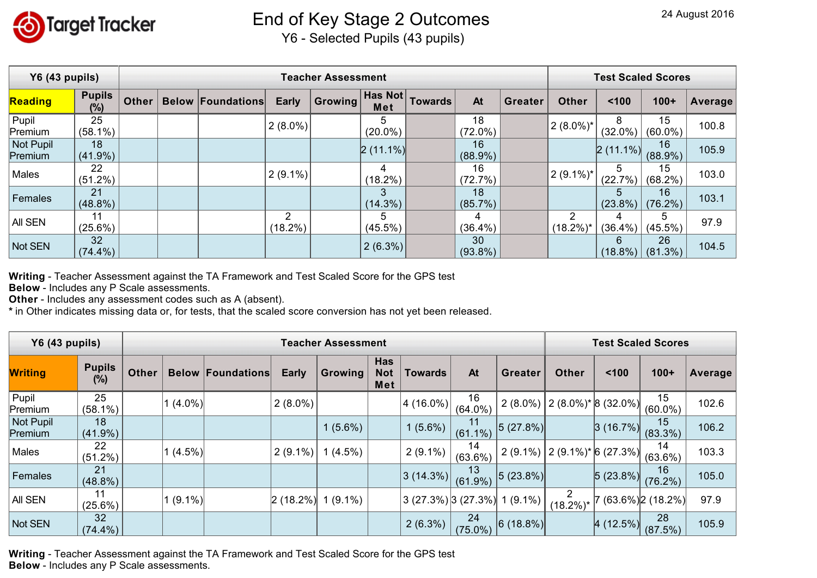

## End of Key Stage 2 Outcomes

Y6 - Selected Pupils (43 pupils)

| Y6 (43 pupils)       |                         |              | <b>Test Scaled Scores</b> |                 |                |                 |         |                  |         |                   |                 |                  |         |
|----------------------|-------------------------|--------------|---------------------------|-----------------|----------------|-----------------|---------|------------------|---------|-------------------|-----------------|------------------|---------|
| Reading              | <b>Pupils</b><br>$(\%)$ | <b>Other</b> | <b>Below Foundations</b>  | <b>Early</b>    | <b>Growing</b> | Has Not<br>Met  | Towards | At               | Greater | <b>Other</b>      | 100             | $100+$           | Average |
| Pupil<br>Premium     | 25<br>$(58.1\%)$        |              |                           | $2(8.0\%)$      |                | 5<br>$(20.0\%)$ |         | 18<br>$(72.0\%)$ |         | $(2 (8.0\%)^*$    | 8<br>$(32.0\%)$ | 15<br>$(60.0\%)$ | 100.8   |
| Not Pupil<br>Premium | 18<br>$(41.9\%)$        |              |                           |                 |                | $2(11.1\%)$     |         | 16<br>$(88.9\%)$ |         |                   | $2(11.1\%)$     | 16<br>$(88.9\%)$ | 105.9   |
| Males                | 22<br>$(51.2\%)$        |              |                           | $2(9.1\%)$      |                | 4<br>$(18.2\%)$ |         | 16<br>(72.7%)    |         | $(2(9.1\%)^*$     | 5<br>(22.7%)    | 15<br>$(68.2\%)$ | 103.0   |
| Females              | 21<br>$(48.8\%)$        |              |                           |                 |                | 3<br>$(14.3\%)$ |         | 18<br>$(85.7\%)$ |         |                   | 5<br>$(23.8\%)$ | 16<br>$(76.2\%)$ | 103.1   |
| AII SEN              | 11<br>(25.6%)           |              |                           | 2<br>$(18.2\%)$ |                | 5<br>$(45.5\%)$ |         | 4<br>$(36.4\%)$  |         | 2<br>$(18.2\%)^*$ | 4<br>$(36.4\%)$ | 5<br>$(45.5\%)$  | 97.9    |
| Not SEN              | 32<br>$(74.4\%)$        |              |                           |                 |                | $2(6.3\%)$      |         | 30<br>$(93.8\%)$ |         |                   | 6<br>$(18.8\%)$ | 26<br>$(81.3\%)$ | 104.5   |

**Writing** - Teacher Assessment against the TA Framework and Test Scaled Score for the GPS test

**Below** - Includes any P Scale assessments.

**Other** - Includes any assessment codes such as A (absent).

**\*** in Other indicates missing data or, for tests, that the scaled score conversion has not yet been released.

| <b>Y6 (43 pupils)</b> |                         | <b>Teacher Assessment</b> |           |                          |              |           |                                 |                          |                  |                |                                                                   | <b>Test Scaled Scores</b> |                    |         |  |
|-----------------------|-------------------------|---------------------------|-----------|--------------------------|--------------|-----------|---------------------------------|--------------------------|------------------|----------------|-------------------------------------------------------------------|---------------------------|--------------------|---------|--|
| <b>Writing</b>        | <b>Pupils</b><br>$(\%)$ | <b>Other</b>              |           | <b>Below Foundations</b> | <b>Early</b> | Growing   | <b>Has</b><br><b>Not</b><br>Met | <b>Towards</b>           | At               | <b>Greater</b> | <b>Other</b>                                                      | 100                       | $100+$             | Average |  |
| Pupi <br>Premium      | 25<br>$(58.1\%)$        |                           | $(4.0\%)$ |                          | $(2 (8.0\%)$ |           |                                 | 4 (16.0%)                | 16<br>$(64.0\%)$ |                | 2 (8.0%) $\left[ 2 \right. (8.0\%)^* \left[ 8 \right. (32.0\%)^*$ |                           | 15<br>$(60.0\%)$   | 102.6   |  |
| Not Pupil<br>Premium  | 18<br>$(41.9\%)$        |                           |           |                          |              | $(5.6\%)$ |                                 | $1(5.6\%)$               | 11<br>$(61.1\%)$ | 5(27.8%)       |                                                                   | 3(16.7%)                  | 15<br>$(83.3\%)$   | 106.2   |  |
| Males                 | 22<br>(51.2%)           |                           | $(4.5\%)$ |                          | $(2(9.1\%)$  | $(4.5\%)$ |                                 | $2(9.1\%)$               | 14<br>$(63.6\%)$ |                | $2(9.1\%)$ $2(9.1\%)$ * 6(27.3%)                                  |                           | 14<br>$(63.6\%)$   | 103.3   |  |
| Females               | 21<br>$(48.8\%)$        |                           |           |                          |              |           |                                 | 3(14.3%)                 | 13<br>$(61.9\%)$ | $ 5(23.8\%) $  |                                                                   | 5(23.8%)                  | 16<br>$(76.2\%)$   | 105.0   |  |
| All SEN               | 11<br>$(25.6\%)$        |                           | $(9.1\%)$ |                          | 2(18.2%)     | $(9.1\%)$ |                                 | $(3 (27.3\%)$ $(27.3\%)$ |                  | $1(9.1\%)$     | 2<br>$(18.2\%)^*$                                                 |                           | $(63.6\%)$ (18.2%) | 97.9    |  |
| Not SEN               | 32<br>$(74.4\%)$        |                           |           |                          |              |           |                                 | $2(6.3\%)$               | 24<br>$(75.0\%)$ | $ 6(18.8\%) $  |                                                                   | 4(12.5%)                  | 28<br>(87.5%)      | 105.9   |  |

**Writing** - Teacher Assessment against the TA Framework and Test Scaled Score for the GPS test **Below** - Includes any P Scale assessments.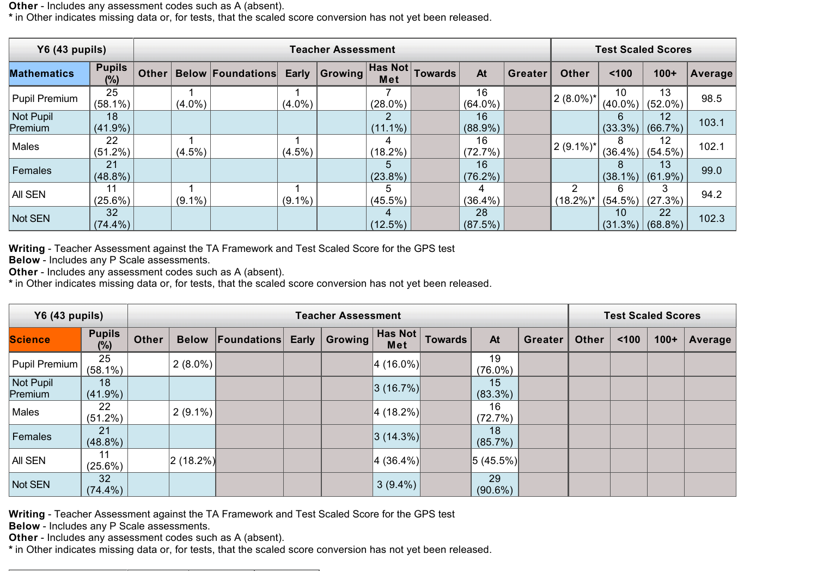**Other** - Includes any assessment codes such as A (absent).

**\*** in Other indicates missing data or, for tests, that the scaled score conversion has not yet been released.

| Y6 (43 pupils)       |                         | <b>Teacher Assessment</b> |           |                          |           |         |                  |                |                  |                |                   | <b>Test Scaled Scores</b> |                            |         |  |
|----------------------|-------------------------|---------------------------|-----------|--------------------------|-----------|---------|------------------|----------------|------------------|----------------|-------------------|---------------------------|----------------------------|---------|--|
| <b>Mathematics</b>   | <b>Pupils</b><br>$(\%)$ | <b>Other</b>              |           | <b>Below Foundations</b> | Early     | Growing | Has Not<br>Met   | <b>Towards</b> | At               | <b>Greater</b> | <b>Other</b>      | 100                       | $100+$                     | Average |  |
| Pupil Premium        | 25<br>$(58.1\%)$        |                           | $(4.0\%)$ |                          | $(4.0\%)$ |         | $(28.0\%)$       |                | 16<br>$(64.0\%)$ |                | $2(8.0\%)^*$      | 10<br>$(40.0\%)$          | 13<br>$(52.0\%)$           | 98.5    |  |
| Not Pupil<br>Premium | 18<br>$(41.9\%)$        |                           |           |                          |           |         | $(11.1\%)$       |                | 16<br>$(88.9\%)$ |                |                   | 6                         | 12<br>$(33.3\%)$ (66.7%)   | 103.1   |  |
| Males                | 22<br>$(51.2\%)$        |                           | $(4.5\%)$ |                          | $(4.5\%)$ |         | 4<br>$(18.2\%)$  |                | 16<br>(72.7%)    |                | $2(9.1\%)^*$      | 8                         | 12<br>$(36.4\%)$ (54.5%)   | 102.1   |  |
| Females              | 21<br>$(48.8\%)$        |                           |           |                          |           |         | b.<br>$(23.8\%)$ |                | 16<br>$(76.2\%)$ |                |                   | 8                         | 13<br>$ (38.1\%) (61.9\%)$ | 99.0    |  |
| All SEN              | 11<br>$(25.6\%)$        |                           | $(9.1\%)$ |                          | $(9.1\%)$ |         | 5<br>$(45.5\%)$  |                | 4<br>$(36.4\%)$  |                | 2<br>$(18.2\%)^*$ | 6<br>$(54.5\%)$           | (27.3%)                    | 94.2    |  |
| Not SEN              | 32<br>$(74.4\%)$        |                           |           |                          |           |         | 4<br>$(12.5\%)$  |                | 28<br>(87.5%)    |                |                   | 10                        | 22<br>$(31.3\%)$ (68.8%)   | 102.3   |  |

**Writing** - Teacher Assessment against the TA Framework and Test Scaled Score for the GPS test

**Below** - Includes any P Scale assessments.

**Other** - Includes any assessment codes such as A (absent).

**\*** in Other indicates missing data or, for tests, that the scaled score conversion has not yet been released.

| <b>Y6 (43 pupils)</b> |                      | <b>Teacher Assessment</b> |               |                          |       |         |                |                |                  |                |              | <b>Test Scaled Scores</b> |        |         |  |
|-----------------------|----------------------|---------------------------|---------------|--------------------------|-------|---------|----------------|----------------|------------------|----------------|--------------|---------------------------|--------|---------|--|
| <b>Science</b>        | <b>Pupils</b><br>(%) | <b>Other</b>              |               | <b>Below Foundations</b> | Early | Growing | Has Not<br>Met | <b>Towards</b> | At               | <b>Greater</b> | <b>Other</b> | < 100                     | $100+$ | Average |  |
| Pupil Premium         | 25<br>$(58.1\%)$     |                           | $2(8.0\%)$    |                          |       |         | $ 4(16.0\%) $  |                | 19<br>$(76.0\%)$ |                |              |                           |        |         |  |
| Not Pupil<br>Premium  | 18<br>$(41.9\%)$     |                           |               |                          |       |         | 3(16.7%)       |                | 15<br>$(83.3\%)$ |                |              |                           |        |         |  |
| Males                 | 22<br>$(51.2\%)$     |                           | $2(9.1\%)$    |                          |       |         | $ 4(18.2\%) $  |                | 16<br>(72.7%)    |                |              |                           |        |         |  |
| Females               | 21<br>$(48.8\%)$     |                           |               |                          |       |         | $ 3(14.3\%) $  |                | 18<br>$(85.7\%)$ |                |              |                           |        |         |  |
| <b>AII SEN</b>        | 11<br>$(25.6\%)$     |                           | $ 2(18.2\%) $ |                          |       |         | $ 4(36.4\%) $  |                | $ 5(45.5\%) $    |                |              |                           |        |         |  |
| Not SEN               | 32<br>$(74.4\%)$     |                           |               |                          |       |         | $3(9.4\%)$     |                | 29<br>$(90.6\%)$ |                |              |                           |        |         |  |

**Writing** - Teacher Assessment against the TA Framework and Test Scaled Score for the GPS test

**Below** - Includes any P Scale assessments.

**Other** - Includes any assessment codes such as A (absent).

**\*** in Other indicates missing data or, for tests, that the scaled score conversion has not yet been released.